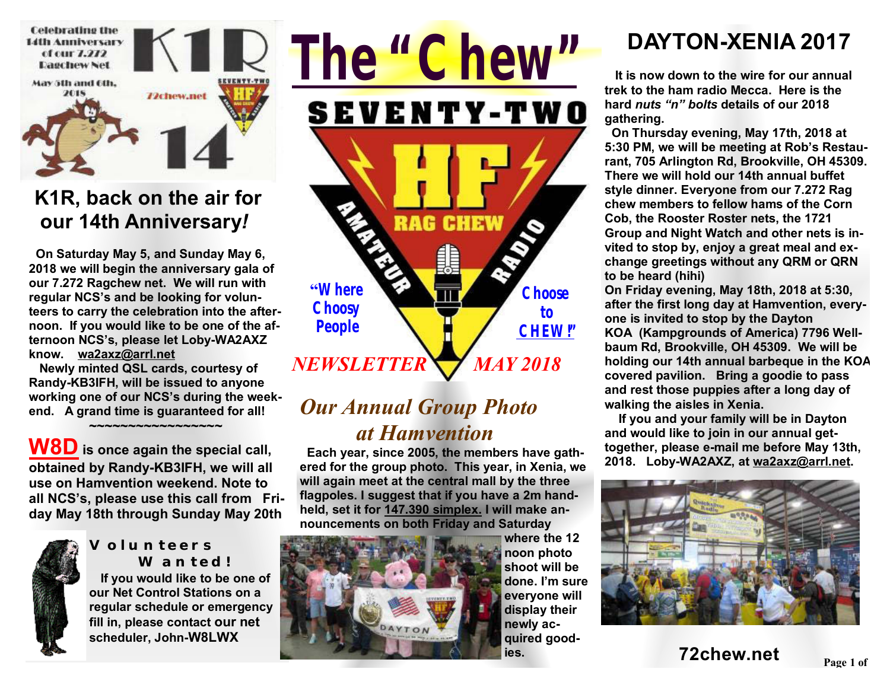

#### **K1R, back on the air for our 14th Anniversary***!*

 **On Saturday May 5, and Sunday May 6, 2018 we will begin the anniversary gala of our 7.272 Ragchew net. We will run with regular NCS's and be looking for volunteers to carry the celebration into the afternoon. If you would like to be one of the afternoon NCS's, please let Loby-WA2AXZ know. wa2axz@arrl.net** 

 **Newly minted QSL cards, courtesy of Randy-KB3IFH, will be issued to anyone working one of our NCS's during the weekend. A grand time is guaranteed for all!** 

 **~~~~~~~~~~~~~~~~~** 

**W8D is once again the special call, obtained by Randy-KB3IFH, we will all use on Hamvention weekend. Note to all NCS's, please use this call from Friday May 18th through Sunday May 20th** 



#### **Volunteers Wanted!**

 **If you would like to be one of our Net Control Stations on a regular schedule or emergency fill in, please contact our net scheduler, John-W8LWX** 



### *Our Annual Group Photo at Hamvention*

 **Each year, since 2005, the members have gathered for the group photo. This year, in Xenia, we will again meet at the central mall by the three flagpoles. I suggest that if you have a 2m handheld, set it for 147.390 simplex. I will make announcements on both Friday and Saturday** 



**where the 12 noon photo shoot will be done. I'm sure everyone will display their newly acquired goodies.** 

# **DAYTON-XENIA 2017**

 **It is now down to the wire for our annual trek to the ham radio Mecca. Here is the hard** *nuts "n" bolts* **details of our 2018 gathering.** 

 **On Thursday evening, May 17th, 2018 at 5:30 PM, we will be meeting at Rob's Restaurant, 705 Arlington Rd, Brookville, OH 45309. There we will hold our 14th annual buffet style dinner. Everyone from our 7.272 Rag chew members to fellow hams of the Corn Cob, the Rooster Roster nets, the 1721 Group and Night Watch and other nets is invited to stop by, enjoy a great meal and exchange greetings without any QRM or QRN to be heard (hihi)** 

**On Friday evening, May 18th, 2018 at 5:30, after the first long day at Hamvention, everyone is invited to stop by the Dayton KOA (Kampgrounds of America) 7796 Wellbaum Rd, Brookville, OH 45309. We will be holding our 14th annual barbeque in the KOA covered pavilion. Bring a goodie to pass and rest those puppies after a long day of walking the aisles in Xenia.** 

 **If you and your family will be in Dayton and would like to join in our annual gettogether, please e-mail me before May 13th, 2018. Loby-WA2AXZ, at wa2axz@arrl.net.** 



**Page <sup>1</sup> of 2 72chew.net**